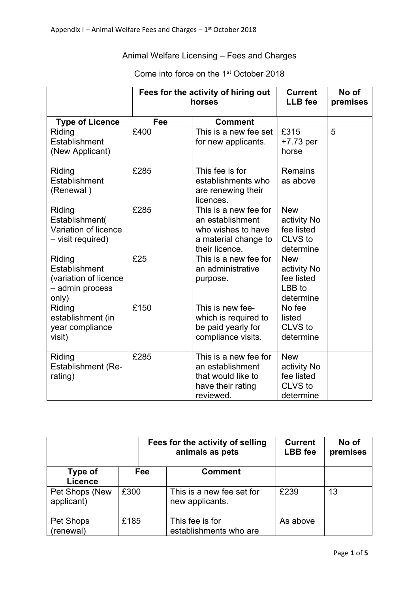## Animal Welfare Licensing – Fees and Charges

## Come into force on the 1<sup>st</sup> October 2018

|                                                                              |      | Fees for the activity of hiring out<br>horses                                                             |                                                                 | No of<br>premises |
|------------------------------------------------------------------------------|------|-----------------------------------------------------------------------------------------------------------|-----------------------------------------------------------------|-------------------|
| <b>Type of Licence</b>                                                       | Fee  | <b>Comment</b>                                                                                            |                                                                 |                   |
| Riding<br>Establishment<br>(New Applicant)                                   | £400 | This is a new fee set<br>for new applicants.                                                              | £315<br>$+7.73$ per<br>horse                                    | 5                 |
| Riding<br>Establishment<br>(Renewal)                                         | £285 | This fee is for<br>establishments who<br>are renewing their<br>licences.                                  | <b>Remains</b><br>as above                                      |                   |
| Riding<br>Establishment(<br>Variation of licence<br>- visit required)        | £285 | This is a new fee for<br>an establishment<br>who wishes to have<br>a material change to<br>their licence. | <b>New</b><br>activity No<br>fee listed<br>CLVS to<br>determine |                   |
| Riding<br>Establishment<br>(variation of licence<br>- admin process<br>only) | £25  | This is a new fee for<br>an administrative<br>purpose.                                                    | <b>New</b><br>activity No<br>fee listed<br>LBB to<br>determine  |                   |
| Riding<br>establishment (in<br>year compliance<br>visit)                     | £150 | This is new fee-<br>which is required to<br>be paid yearly for<br>compliance visits.                      | No fee<br>listed<br>CLVS to<br>determine                        |                   |
| Riding<br>Establishment (Re-<br>rating)                                      | £285 | This is a new fee for<br>an establishment<br>that would like to<br>have their rating<br>reviewed.         | <b>New</b><br>activity No<br>fee listed<br>CLVS to<br>determine |                   |

|                              |      | Fees for the activity of selling<br>animals as pets |                                              | <b>Current</b><br><b>LBB</b> fee | No of<br>premises |
|------------------------------|------|-----------------------------------------------------|----------------------------------------------|----------------------------------|-------------------|
| Type of<br><b>Licence</b>    |      | Fee                                                 | <b>Comment</b>                               |                                  |                   |
| Pet Shops (New<br>applicant) | £300 |                                                     | This is a new fee set for<br>new applicants. | £239                             | 13                |
| Pet Shops<br>(renewal)       | £185 |                                                     | This fee is for<br>establishments who are    | As above                         |                   |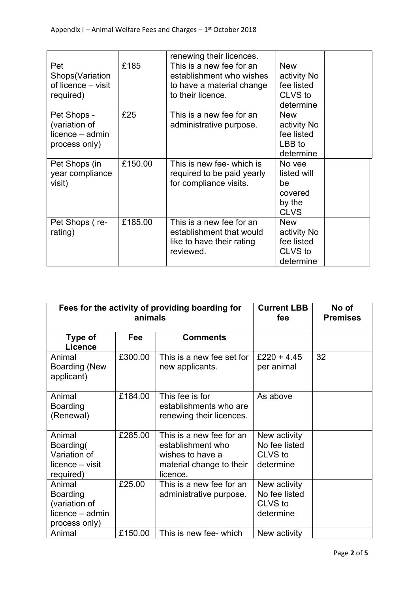|                                                                  |         | renewing their licences.                                                                               |                                                                 |
|------------------------------------------------------------------|---------|--------------------------------------------------------------------------------------------------------|-----------------------------------------------------------------|
| Pet<br>Shops(Variation<br>of licence – visit<br>required)        | £185    | This is a new fee for an<br>establishment who wishes<br>to have a material change<br>to their licence. | <b>New</b><br>activity No<br>fee listed<br>CLVS to<br>determine |
| Pet Shops -<br>(variation of<br>licence - admin<br>process only) | £25     | This is a new fee for an<br>administrative purpose.                                                    | <b>New</b><br>activity No<br>fee listed<br>LBB to<br>determine  |
| Pet Shops (in<br>year compliance<br>visit)                       | £150.00 | This is new fee- which is<br>required to be paid yearly<br>for compliance visits.                      | No yee<br>listed will<br>be<br>covered<br>by the<br><b>CLVS</b> |
| Pet Shops (re-<br>rating)                                        | £185.00 | This is a new fee for an<br>establishment that would<br>like to have their rating<br>reviewed.         | <b>New</b><br>activity No<br>fee listed<br>CLVS to<br>determine |

| Fees for the activity of providing boarding for<br>animals                     |         |                                                                                                           | <b>Current LBB</b><br>fee                             | No of<br><b>Premises</b> |
|--------------------------------------------------------------------------------|---------|-----------------------------------------------------------------------------------------------------------|-------------------------------------------------------|--------------------------|
| Type of<br><b>Licence</b>                                                      | Fee     | <b>Comments</b>                                                                                           |                                                       |                          |
| Animal<br>Boarding (New<br>applicant)                                          | £300.00 | This is a new fee set for<br>new applicants.                                                              | £220 + 4.45<br>per animal                             | 32                       |
| Animal<br><b>Boarding</b><br>(Renewal)                                         | £184.00 | This fee is for<br>establishments who are<br>renewing their licences.                                     | As above                                              |                          |
| Animal<br>Boarding(<br>Variation of<br>licence – visit<br>required)            | £285.00 | This is a new fee for an<br>establishment who<br>wishes to have a<br>material change to their<br>licence. | New activity<br>No fee listed<br>CLVS to<br>determine |                          |
| Animal<br><b>Boarding</b><br>(variation of<br>licence - admin<br>process only) | £25.00  | This is a new fee for an<br>administrative purpose.                                                       | New activity<br>No fee listed<br>CLVS to<br>determine |                          |
| Animal                                                                         | £150.00 | This is new fee- which                                                                                    | New activity                                          |                          |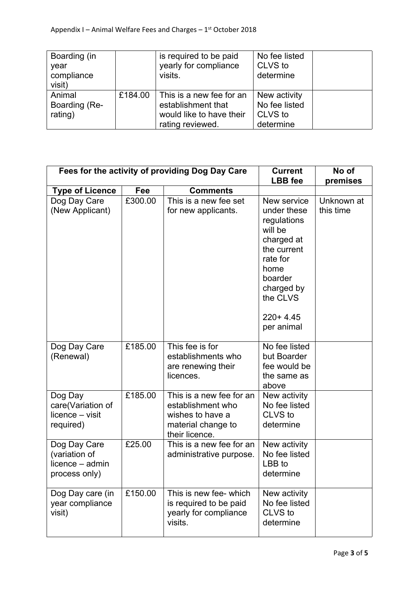| Boarding (in<br>year<br>compliance<br>visit) |         | is required to be paid<br>yearly for compliance<br>visits.                                     | No fee listed<br>CLVS to<br>determine                 |  |
|----------------------------------------------|---------|------------------------------------------------------------------------------------------------|-------------------------------------------------------|--|
| Animal<br>Boarding (Re-<br>rating)           | £184.00 | This is a new fee for an<br>establishment that<br>would like to have their<br>rating reviewed. | New activity<br>No fee listed<br>CLVS to<br>determine |  |

| Fees for the activity of providing Dog Day Care                   |         |                                                                                                           | <b>Current</b><br><b>LBB</b> fee                                                                                                                                       | No of<br>premises       |
|-------------------------------------------------------------------|---------|-----------------------------------------------------------------------------------------------------------|------------------------------------------------------------------------------------------------------------------------------------------------------------------------|-------------------------|
| <b>Type of Licence</b>                                            | Fee     | <b>Comments</b>                                                                                           |                                                                                                                                                                        |                         |
| Dog Day Care<br>(New Applicant)                                   | £300.00 | This is a new fee set<br>for new applicants.                                                              | New service<br>under these<br>regulations<br>will be<br>charged at<br>the current<br>rate for<br>home<br>boarder<br>charged by<br>the CLVS<br>$220+4.45$<br>per animal | Unknown at<br>this time |
| Dog Day Care<br>(Renewal)                                         | £185.00 | This fee is for<br>establishments who<br>are renewing their<br>licences.                                  | No fee listed<br>but Boarder<br>fee would be<br>the same as<br>above                                                                                                   |                         |
| Dog Day<br>care(Variation of<br>licence - visit<br>required)      | £185.00 | This is a new fee for an<br>establishment who<br>wishes to have a<br>material change to<br>their licence. | New activity<br>No fee listed<br>CLVS to<br>determine                                                                                                                  |                         |
| Dog Day Care<br>(variation of<br>licence - admin<br>process only) | £25.00  | This is a new fee for an<br>administrative purpose.                                                       | New activity<br>No fee listed<br>LBB to<br>determine                                                                                                                   |                         |
| Dog Day care (in<br>year compliance<br>visit)                     | £150.00 | This is new fee- which<br>is required to be paid<br>yearly for compliance<br>visits.                      | New activity<br>No fee listed<br>CLVS to<br>determine                                                                                                                  |                         |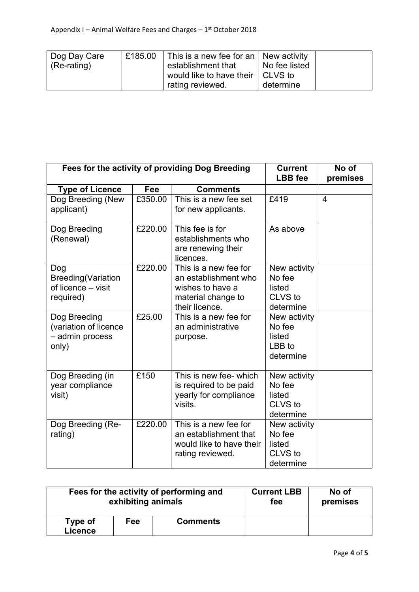| Dog Day Care    | £185.00 | This is a new fee for an   New activity |               |  |
|-----------------|---------|-----------------------------------------|---------------|--|
| $ $ (Re-rating) |         | establishment that                      | No fee listed |  |
|                 |         | would like to have their   CLVS to      |               |  |
|                 |         | rating reviewed.                        | determine     |  |

| Fees for the activity of providing Dog Breeding                     | <b>Current</b><br><b>LBB</b> fee | No of<br>premises                                                                                         |                                                          |                |
|---------------------------------------------------------------------|----------------------------------|-----------------------------------------------------------------------------------------------------------|----------------------------------------------------------|----------------|
| <b>Type of Licence</b>                                              | <b>Fee</b>                       | <b>Comments</b>                                                                                           |                                                          |                |
| Dog Breeding (New<br>applicant)                                     | £350.00                          | This is a new fee set<br>for new applicants.                                                              | £419                                                     | $\overline{4}$ |
| Dog Breeding<br>(Renewal)                                           | £220.00                          | This fee is for<br>establishments who<br>are renewing their<br>licences.                                  | As above                                                 |                |
| Dog<br><b>Breeding(Variation</b><br>of licence - visit<br>required) | £220.00                          | This is a new fee for<br>an establishment who<br>wishes to have a<br>material change to<br>their licence. | New activity<br>No fee<br>listed<br>CLVS to<br>determine |                |
| Dog Breeding<br>(variation of licence<br>- admin process<br>only)   | £25.00                           | This is a new fee for<br>an administrative<br>purpose.                                                    | New activity<br>No fee<br>listed<br>LBB to<br>determine  |                |
| Dog Breeding (in<br>year compliance<br>visit)                       | £150                             | This is new fee- which<br>is required to be paid<br>yearly for compliance<br>visits.                      | New activity<br>No fee<br>listed<br>CLVS to<br>determine |                |
| Dog Breeding (Re-<br>rating)                                        | £220.00                          | This is a new fee for<br>an establishment that<br>would like to have their<br>rating reviewed.            | New activity<br>No fee<br>listed<br>CLVS to<br>determine |                |

| Fees for the activity of performing and |     | <b>Current LBB</b> | No of    |  |
|-----------------------------------------|-----|--------------------|----------|--|
| exhibiting animals                      |     | fee                | premises |  |
| Type of<br>Licence                      | Fee | <b>Comments</b>    |          |  |